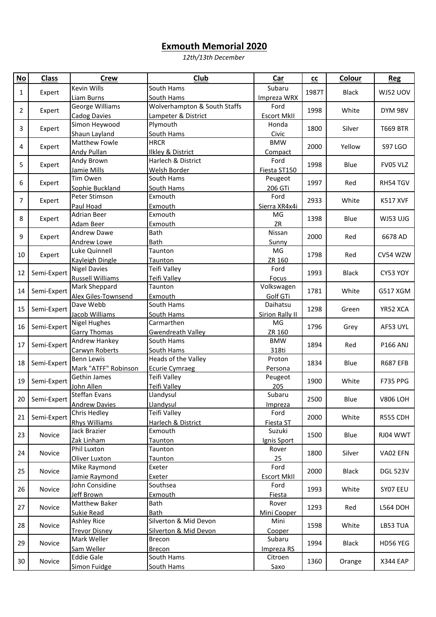## **Exmouth Memorial 2020**

*12th/13th December*

| Kevin Wills<br>South Hams<br>Subaru<br>1987T<br>$\mathbf{1}$<br>Expert<br><b>Black</b><br>WJ52 UOV<br>Liam Burns<br>South Hams<br>Impreza WRX<br>Wolverhampton & South Staffs<br>George Williams<br>Ford<br>2<br>Expert<br>1998<br>White<br><b>DYM 98V</b><br><b>Cadog Davies</b><br>Lampeter & District<br><b>Escort MkII</b><br>Simon Heywood<br>Plymouth<br>Honda<br>1800<br>3<br>Expert<br>Silver<br><b>T669 BTR</b><br>Shaun Layland<br>South Hams<br>Civic<br><b>Matthew Fowle</b><br><b>HRCR</b><br><b>BMW</b><br>4<br>Expert<br>2000<br>Yellow<br><b>S97 LGO</b><br>Andy Pullan<br><b>Ilkley &amp; District</b><br>Compact<br>Andy Brown<br>Harlech & District<br>Ford<br>5<br>Expert<br>1998<br>Blue<br>FV05 VLZ<br>Jamie Mills<br>Welsh Border<br>Fiesta ST150<br>Tim Owen<br>South Hams<br>Peugeot<br>6<br>Expert<br>1997<br>Red<br>RH54 TGV<br>Sophie Buckland<br>South Hams<br>206 GTi<br>Ford<br>Peter Stimson<br>Exmouth<br>2933<br>7<br>Expert<br>White<br><b>K517 XVF</b><br>Paul Hoad<br>Exmouth<br>Sierra XR4x4i<br><b>Adrian Beer</b><br>Exmouth<br>MG<br>8<br>1398<br>Blue<br>Expert<br>WJ53 UJG<br>Adam Beer<br>Exmouth<br>ZR<br>Andrew Dawe<br>Bath<br>Nissan<br>9<br>2000<br>Expert<br>6678 AD<br>Red<br>Bath<br>Andrew Lowe<br>Sunny<br>Taunton<br>Luke Quinnell<br>MG<br>10<br>1798<br>Expert<br>Red<br>CV54 WZW<br><b>Kayleigh Dingle</b><br>ZR 160<br>Taunton<br><b>Nigel Davies</b><br>Teifi Valley<br>Ford<br>Semi-Expert<br>1993<br>12<br><b>Black</b><br>CY53 YOY<br><b>Russell Williams</b><br><b>Teifi Valley</b><br>Focus<br>Mark Sheppard<br>Taunton<br>Volkswagen<br>Semi-Expert<br>1781<br>14<br>White<br>G517 XGM<br>Alex Giles-Townsend<br>Golf GTi<br>Exmouth<br>Dave Webb<br>Daihatsu<br>South Hams<br>Semi-Expert<br>1298<br>15<br>YR52 XCA<br>Green<br>Jacob Williams<br>South Hams<br>Sirion Rally II<br><b>Nigel Hughes</b><br>Carmarthen<br>MG<br>Semi-Expert<br>1796<br>16<br>AF53 UYL<br>Grey<br><b>Garry Thomas</b><br>ZR 160<br><b>Gwendreath Valley</b><br>Andrew Hankey<br>South Hams<br><b>BMW</b><br>1894<br>17<br>Semi-Expert<br>Red<br>P166 ANJ<br>Carwyn Roberts<br>South Hams<br>318ti<br><b>Benn Lewis</b><br>Heads of the Valley<br>Proton<br>1834<br>18<br>Semi-Expert<br>Blue<br><b>R687 EFB</b><br>Mark "ATFF" Robinson<br><b>Ecurie Cymraeg</b><br>Persona<br>Gethin James<br>Teifi Valley<br>Peugeot<br>Semi-Expert<br>19<br>1900<br>White<br><b>F735 PPG</b><br>205<br>John Allen<br><b>Teifi Valley</b><br>Subaru<br><b>Steffan Evans</b><br>Llandysul<br>2500<br>20   Semi-Expert<br>Blue<br><b>V806 LOH</b><br>Llandysul<br><b>Andrew Davies</b><br>Impreza<br><b>Teifi Valley</b><br>Chris Hedley<br>Ford<br>Semi-Expert<br>2000<br>R555 CDH<br>21<br>White<br>Harlech & District<br><b>Rhys Williams</b><br>Fiesta ST<br>Exmouth<br>Jack Brazier<br>Suzuki<br>23<br>Novice<br>1500<br>RJ04 WWT<br>Blue<br>Zak Linham<br><b>Taunton</b><br>Ignis Sport<br>Phil Luxton<br>Taunton<br>Rover<br>1800<br>24<br>Novice<br>Silver<br>VA02 EFN<br>Oliver Luxton<br>25<br>Taunton<br>Ford<br>Mike Raymond<br>Exeter<br>25<br>2000<br>Novice<br><b>Black</b><br><b>DGL 523V</b><br>Jamie Raymond<br>Exeter<br><b>Escort MkII</b><br>John Considine<br>Southsea<br>Ford<br>26<br>1993<br>White<br>Novice<br>SY07 EEU<br>Jeff Brown<br>Exmouth<br>Fiesta<br>Matthew Baker<br>Bath<br>Rover<br>1293<br>27<br>Novice<br>Red<br><b>L564 DOH</b><br><b>Bath</b><br>Sukie Read<br>Mini Cooper<br>Ashley Rice<br>Silverton & Mid Devon<br>Mini<br>1598<br>28<br>Novice<br>White<br>LB53 TUA<br><b>Trevor Disney</b><br>Silverton & Mid Devon<br>Cooper<br>Subaru<br>Mark Weller<br><b>Brecon</b><br>29<br>Novice<br>1994<br><b>Black</b><br>HD56 YEG<br>Sam Weller<br><b>Brecon</b><br>Impreza RS<br><b>Eddie Gale</b><br>South Hams<br>Citroen<br>30<br>Novice<br>1360<br>Orange<br><b>X344 EAP</b> | N <sub>O</sub> | <b>Class</b> | <b>Crew</b>  | Club       | Car  | cc | <b>Colour</b> | <b>Reg</b> |
|------------------------------------------------------------------------------------------------------------------------------------------------------------------------------------------------------------------------------------------------------------------------------------------------------------------------------------------------------------------------------------------------------------------------------------------------------------------------------------------------------------------------------------------------------------------------------------------------------------------------------------------------------------------------------------------------------------------------------------------------------------------------------------------------------------------------------------------------------------------------------------------------------------------------------------------------------------------------------------------------------------------------------------------------------------------------------------------------------------------------------------------------------------------------------------------------------------------------------------------------------------------------------------------------------------------------------------------------------------------------------------------------------------------------------------------------------------------------------------------------------------------------------------------------------------------------------------------------------------------------------------------------------------------------------------------------------------------------------------------------------------------------------------------------------------------------------------------------------------------------------------------------------------------------------------------------------------------------------------------------------------------------------------------------------------------------------------------------------------------------------------------------------------------------------------------------------------------------------------------------------------------------------------------------------------------------------------------------------------------------------------------------------------------------------------------------------------------------------------------------------------------------------------------------------------------------------------------------------------------------------------------------------------------------------------------------------------------------------------------------------------------------------------------------------------------------------------------------------------------------------------------------------------------------------------------------------------------------------------------------------------------------------------------------------------------------------------------------------------------------------------------------------------------------------------------------------------------------------------------------------------------------------------------------------------------------------------------------------------------------------------------------------------------------------------------------------------------------------------------------------------------------------------------------------------------------------------------------------------------------------------------------------------------------------------------------------------------------------------------------------------------------------------------------------------------------------------------------------------|----------------|--------------|--------------|------------|------|----|---------------|------------|
|                                                                                                                                                                                                                                                                                                                                                                                                                                                                                                                                                                                                                                                                                                                                                                                                                                                                                                                                                                                                                                                                                                                                                                                                                                                                                                                                                                                                                                                                                                                                                                                                                                                                                                                                                                                                                                                                                                                                                                                                                                                                                                                                                                                                                                                                                                                                                                                                                                                                                                                                                                                                                                                                                                                                                                                                                                                                                                                                                                                                                                                                                                                                                                                                                                                                                                                                                                                                                                                                                                                                                                                                                                                                                                                                                                                                                                                            |                |              |              |            |      |    |               |            |
|                                                                                                                                                                                                                                                                                                                                                                                                                                                                                                                                                                                                                                                                                                                                                                                                                                                                                                                                                                                                                                                                                                                                                                                                                                                                                                                                                                                                                                                                                                                                                                                                                                                                                                                                                                                                                                                                                                                                                                                                                                                                                                                                                                                                                                                                                                                                                                                                                                                                                                                                                                                                                                                                                                                                                                                                                                                                                                                                                                                                                                                                                                                                                                                                                                                                                                                                                                                                                                                                                                                                                                                                                                                                                                                                                                                                                                                            |                |              |              |            |      |    |               |            |
|                                                                                                                                                                                                                                                                                                                                                                                                                                                                                                                                                                                                                                                                                                                                                                                                                                                                                                                                                                                                                                                                                                                                                                                                                                                                                                                                                                                                                                                                                                                                                                                                                                                                                                                                                                                                                                                                                                                                                                                                                                                                                                                                                                                                                                                                                                                                                                                                                                                                                                                                                                                                                                                                                                                                                                                                                                                                                                                                                                                                                                                                                                                                                                                                                                                                                                                                                                                                                                                                                                                                                                                                                                                                                                                                                                                                                                                            |                |              |              |            |      |    |               |            |
|                                                                                                                                                                                                                                                                                                                                                                                                                                                                                                                                                                                                                                                                                                                                                                                                                                                                                                                                                                                                                                                                                                                                                                                                                                                                                                                                                                                                                                                                                                                                                                                                                                                                                                                                                                                                                                                                                                                                                                                                                                                                                                                                                                                                                                                                                                                                                                                                                                                                                                                                                                                                                                                                                                                                                                                                                                                                                                                                                                                                                                                                                                                                                                                                                                                                                                                                                                                                                                                                                                                                                                                                                                                                                                                                                                                                                                                            |                |              |              |            |      |    |               |            |
|                                                                                                                                                                                                                                                                                                                                                                                                                                                                                                                                                                                                                                                                                                                                                                                                                                                                                                                                                                                                                                                                                                                                                                                                                                                                                                                                                                                                                                                                                                                                                                                                                                                                                                                                                                                                                                                                                                                                                                                                                                                                                                                                                                                                                                                                                                                                                                                                                                                                                                                                                                                                                                                                                                                                                                                                                                                                                                                                                                                                                                                                                                                                                                                                                                                                                                                                                                                                                                                                                                                                                                                                                                                                                                                                                                                                                                                            |                |              |              |            |      |    |               |            |
|                                                                                                                                                                                                                                                                                                                                                                                                                                                                                                                                                                                                                                                                                                                                                                                                                                                                                                                                                                                                                                                                                                                                                                                                                                                                                                                                                                                                                                                                                                                                                                                                                                                                                                                                                                                                                                                                                                                                                                                                                                                                                                                                                                                                                                                                                                                                                                                                                                                                                                                                                                                                                                                                                                                                                                                                                                                                                                                                                                                                                                                                                                                                                                                                                                                                                                                                                                                                                                                                                                                                                                                                                                                                                                                                                                                                                                                            |                |              |              |            |      |    |               |            |
|                                                                                                                                                                                                                                                                                                                                                                                                                                                                                                                                                                                                                                                                                                                                                                                                                                                                                                                                                                                                                                                                                                                                                                                                                                                                                                                                                                                                                                                                                                                                                                                                                                                                                                                                                                                                                                                                                                                                                                                                                                                                                                                                                                                                                                                                                                                                                                                                                                                                                                                                                                                                                                                                                                                                                                                                                                                                                                                                                                                                                                                                                                                                                                                                                                                                                                                                                                                                                                                                                                                                                                                                                                                                                                                                                                                                                                                            |                |              |              |            |      |    |               |            |
|                                                                                                                                                                                                                                                                                                                                                                                                                                                                                                                                                                                                                                                                                                                                                                                                                                                                                                                                                                                                                                                                                                                                                                                                                                                                                                                                                                                                                                                                                                                                                                                                                                                                                                                                                                                                                                                                                                                                                                                                                                                                                                                                                                                                                                                                                                                                                                                                                                                                                                                                                                                                                                                                                                                                                                                                                                                                                                                                                                                                                                                                                                                                                                                                                                                                                                                                                                                                                                                                                                                                                                                                                                                                                                                                                                                                                                                            |                |              |              |            |      |    |               |            |
|                                                                                                                                                                                                                                                                                                                                                                                                                                                                                                                                                                                                                                                                                                                                                                                                                                                                                                                                                                                                                                                                                                                                                                                                                                                                                                                                                                                                                                                                                                                                                                                                                                                                                                                                                                                                                                                                                                                                                                                                                                                                                                                                                                                                                                                                                                                                                                                                                                                                                                                                                                                                                                                                                                                                                                                                                                                                                                                                                                                                                                                                                                                                                                                                                                                                                                                                                                                                                                                                                                                                                                                                                                                                                                                                                                                                                                                            |                |              |              |            |      |    |               |            |
|                                                                                                                                                                                                                                                                                                                                                                                                                                                                                                                                                                                                                                                                                                                                                                                                                                                                                                                                                                                                                                                                                                                                                                                                                                                                                                                                                                                                                                                                                                                                                                                                                                                                                                                                                                                                                                                                                                                                                                                                                                                                                                                                                                                                                                                                                                                                                                                                                                                                                                                                                                                                                                                                                                                                                                                                                                                                                                                                                                                                                                                                                                                                                                                                                                                                                                                                                                                                                                                                                                                                                                                                                                                                                                                                                                                                                                                            |                |              |              |            |      |    |               |            |
|                                                                                                                                                                                                                                                                                                                                                                                                                                                                                                                                                                                                                                                                                                                                                                                                                                                                                                                                                                                                                                                                                                                                                                                                                                                                                                                                                                                                                                                                                                                                                                                                                                                                                                                                                                                                                                                                                                                                                                                                                                                                                                                                                                                                                                                                                                                                                                                                                                                                                                                                                                                                                                                                                                                                                                                                                                                                                                                                                                                                                                                                                                                                                                                                                                                                                                                                                                                                                                                                                                                                                                                                                                                                                                                                                                                                                                                            |                |              |              |            |      |    |               |            |
|                                                                                                                                                                                                                                                                                                                                                                                                                                                                                                                                                                                                                                                                                                                                                                                                                                                                                                                                                                                                                                                                                                                                                                                                                                                                                                                                                                                                                                                                                                                                                                                                                                                                                                                                                                                                                                                                                                                                                                                                                                                                                                                                                                                                                                                                                                                                                                                                                                                                                                                                                                                                                                                                                                                                                                                                                                                                                                                                                                                                                                                                                                                                                                                                                                                                                                                                                                                                                                                                                                                                                                                                                                                                                                                                                                                                                                                            |                |              |              |            |      |    |               |            |
|                                                                                                                                                                                                                                                                                                                                                                                                                                                                                                                                                                                                                                                                                                                                                                                                                                                                                                                                                                                                                                                                                                                                                                                                                                                                                                                                                                                                                                                                                                                                                                                                                                                                                                                                                                                                                                                                                                                                                                                                                                                                                                                                                                                                                                                                                                                                                                                                                                                                                                                                                                                                                                                                                                                                                                                                                                                                                                                                                                                                                                                                                                                                                                                                                                                                                                                                                                                                                                                                                                                                                                                                                                                                                                                                                                                                                                                            |                |              |              |            |      |    |               |            |
|                                                                                                                                                                                                                                                                                                                                                                                                                                                                                                                                                                                                                                                                                                                                                                                                                                                                                                                                                                                                                                                                                                                                                                                                                                                                                                                                                                                                                                                                                                                                                                                                                                                                                                                                                                                                                                                                                                                                                                                                                                                                                                                                                                                                                                                                                                                                                                                                                                                                                                                                                                                                                                                                                                                                                                                                                                                                                                                                                                                                                                                                                                                                                                                                                                                                                                                                                                                                                                                                                                                                                                                                                                                                                                                                                                                                                                                            |                |              |              |            |      |    |               |            |
|                                                                                                                                                                                                                                                                                                                                                                                                                                                                                                                                                                                                                                                                                                                                                                                                                                                                                                                                                                                                                                                                                                                                                                                                                                                                                                                                                                                                                                                                                                                                                                                                                                                                                                                                                                                                                                                                                                                                                                                                                                                                                                                                                                                                                                                                                                                                                                                                                                                                                                                                                                                                                                                                                                                                                                                                                                                                                                                                                                                                                                                                                                                                                                                                                                                                                                                                                                                                                                                                                                                                                                                                                                                                                                                                                                                                                                                            |                |              |              |            |      |    |               |            |
|                                                                                                                                                                                                                                                                                                                                                                                                                                                                                                                                                                                                                                                                                                                                                                                                                                                                                                                                                                                                                                                                                                                                                                                                                                                                                                                                                                                                                                                                                                                                                                                                                                                                                                                                                                                                                                                                                                                                                                                                                                                                                                                                                                                                                                                                                                                                                                                                                                                                                                                                                                                                                                                                                                                                                                                                                                                                                                                                                                                                                                                                                                                                                                                                                                                                                                                                                                                                                                                                                                                                                                                                                                                                                                                                                                                                                                                            |                |              |              |            |      |    |               |            |
|                                                                                                                                                                                                                                                                                                                                                                                                                                                                                                                                                                                                                                                                                                                                                                                                                                                                                                                                                                                                                                                                                                                                                                                                                                                                                                                                                                                                                                                                                                                                                                                                                                                                                                                                                                                                                                                                                                                                                                                                                                                                                                                                                                                                                                                                                                                                                                                                                                                                                                                                                                                                                                                                                                                                                                                                                                                                                                                                                                                                                                                                                                                                                                                                                                                                                                                                                                                                                                                                                                                                                                                                                                                                                                                                                                                                                                                            |                |              |              |            |      |    |               |            |
|                                                                                                                                                                                                                                                                                                                                                                                                                                                                                                                                                                                                                                                                                                                                                                                                                                                                                                                                                                                                                                                                                                                                                                                                                                                                                                                                                                                                                                                                                                                                                                                                                                                                                                                                                                                                                                                                                                                                                                                                                                                                                                                                                                                                                                                                                                                                                                                                                                                                                                                                                                                                                                                                                                                                                                                                                                                                                                                                                                                                                                                                                                                                                                                                                                                                                                                                                                                                                                                                                                                                                                                                                                                                                                                                                                                                                                                            |                |              |              |            |      |    |               |            |
|                                                                                                                                                                                                                                                                                                                                                                                                                                                                                                                                                                                                                                                                                                                                                                                                                                                                                                                                                                                                                                                                                                                                                                                                                                                                                                                                                                                                                                                                                                                                                                                                                                                                                                                                                                                                                                                                                                                                                                                                                                                                                                                                                                                                                                                                                                                                                                                                                                                                                                                                                                                                                                                                                                                                                                                                                                                                                                                                                                                                                                                                                                                                                                                                                                                                                                                                                                                                                                                                                                                                                                                                                                                                                                                                                                                                                                                            |                |              |              |            |      |    |               |            |
|                                                                                                                                                                                                                                                                                                                                                                                                                                                                                                                                                                                                                                                                                                                                                                                                                                                                                                                                                                                                                                                                                                                                                                                                                                                                                                                                                                                                                                                                                                                                                                                                                                                                                                                                                                                                                                                                                                                                                                                                                                                                                                                                                                                                                                                                                                                                                                                                                                                                                                                                                                                                                                                                                                                                                                                                                                                                                                                                                                                                                                                                                                                                                                                                                                                                                                                                                                                                                                                                                                                                                                                                                                                                                                                                                                                                                                                            |                |              |              |            |      |    |               |            |
|                                                                                                                                                                                                                                                                                                                                                                                                                                                                                                                                                                                                                                                                                                                                                                                                                                                                                                                                                                                                                                                                                                                                                                                                                                                                                                                                                                                                                                                                                                                                                                                                                                                                                                                                                                                                                                                                                                                                                                                                                                                                                                                                                                                                                                                                                                                                                                                                                                                                                                                                                                                                                                                                                                                                                                                                                                                                                                                                                                                                                                                                                                                                                                                                                                                                                                                                                                                                                                                                                                                                                                                                                                                                                                                                                                                                                                                            |                |              |              |            |      |    |               |            |
|                                                                                                                                                                                                                                                                                                                                                                                                                                                                                                                                                                                                                                                                                                                                                                                                                                                                                                                                                                                                                                                                                                                                                                                                                                                                                                                                                                                                                                                                                                                                                                                                                                                                                                                                                                                                                                                                                                                                                                                                                                                                                                                                                                                                                                                                                                                                                                                                                                                                                                                                                                                                                                                                                                                                                                                                                                                                                                                                                                                                                                                                                                                                                                                                                                                                                                                                                                                                                                                                                                                                                                                                                                                                                                                                                                                                                                                            |                |              |              |            |      |    |               |            |
|                                                                                                                                                                                                                                                                                                                                                                                                                                                                                                                                                                                                                                                                                                                                                                                                                                                                                                                                                                                                                                                                                                                                                                                                                                                                                                                                                                                                                                                                                                                                                                                                                                                                                                                                                                                                                                                                                                                                                                                                                                                                                                                                                                                                                                                                                                                                                                                                                                                                                                                                                                                                                                                                                                                                                                                                                                                                                                                                                                                                                                                                                                                                                                                                                                                                                                                                                                                                                                                                                                                                                                                                                                                                                                                                                                                                                                                            |                |              |              |            |      |    |               |            |
|                                                                                                                                                                                                                                                                                                                                                                                                                                                                                                                                                                                                                                                                                                                                                                                                                                                                                                                                                                                                                                                                                                                                                                                                                                                                                                                                                                                                                                                                                                                                                                                                                                                                                                                                                                                                                                                                                                                                                                                                                                                                                                                                                                                                                                                                                                                                                                                                                                                                                                                                                                                                                                                                                                                                                                                                                                                                                                                                                                                                                                                                                                                                                                                                                                                                                                                                                                                                                                                                                                                                                                                                                                                                                                                                                                                                                                                            |                |              |              |            |      |    |               |            |
|                                                                                                                                                                                                                                                                                                                                                                                                                                                                                                                                                                                                                                                                                                                                                                                                                                                                                                                                                                                                                                                                                                                                                                                                                                                                                                                                                                                                                                                                                                                                                                                                                                                                                                                                                                                                                                                                                                                                                                                                                                                                                                                                                                                                                                                                                                                                                                                                                                                                                                                                                                                                                                                                                                                                                                                                                                                                                                                                                                                                                                                                                                                                                                                                                                                                                                                                                                                                                                                                                                                                                                                                                                                                                                                                                                                                                                                            |                |              |              |            |      |    |               |            |
|                                                                                                                                                                                                                                                                                                                                                                                                                                                                                                                                                                                                                                                                                                                                                                                                                                                                                                                                                                                                                                                                                                                                                                                                                                                                                                                                                                                                                                                                                                                                                                                                                                                                                                                                                                                                                                                                                                                                                                                                                                                                                                                                                                                                                                                                                                                                                                                                                                                                                                                                                                                                                                                                                                                                                                                                                                                                                                                                                                                                                                                                                                                                                                                                                                                                                                                                                                                                                                                                                                                                                                                                                                                                                                                                                                                                                                                            |                |              |              |            |      |    |               |            |
|                                                                                                                                                                                                                                                                                                                                                                                                                                                                                                                                                                                                                                                                                                                                                                                                                                                                                                                                                                                                                                                                                                                                                                                                                                                                                                                                                                                                                                                                                                                                                                                                                                                                                                                                                                                                                                                                                                                                                                                                                                                                                                                                                                                                                                                                                                                                                                                                                                                                                                                                                                                                                                                                                                                                                                                                                                                                                                                                                                                                                                                                                                                                                                                                                                                                                                                                                                                                                                                                                                                                                                                                                                                                                                                                                                                                                                                            |                |              |              |            |      |    |               |            |
|                                                                                                                                                                                                                                                                                                                                                                                                                                                                                                                                                                                                                                                                                                                                                                                                                                                                                                                                                                                                                                                                                                                                                                                                                                                                                                                                                                                                                                                                                                                                                                                                                                                                                                                                                                                                                                                                                                                                                                                                                                                                                                                                                                                                                                                                                                                                                                                                                                                                                                                                                                                                                                                                                                                                                                                                                                                                                                                                                                                                                                                                                                                                                                                                                                                                                                                                                                                                                                                                                                                                                                                                                                                                                                                                                                                                                                                            |                |              |              |            |      |    |               |            |
|                                                                                                                                                                                                                                                                                                                                                                                                                                                                                                                                                                                                                                                                                                                                                                                                                                                                                                                                                                                                                                                                                                                                                                                                                                                                                                                                                                                                                                                                                                                                                                                                                                                                                                                                                                                                                                                                                                                                                                                                                                                                                                                                                                                                                                                                                                                                                                                                                                                                                                                                                                                                                                                                                                                                                                                                                                                                                                                                                                                                                                                                                                                                                                                                                                                                                                                                                                                                                                                                                                                                                                                                                                                                                                                                                                                                                                                            |                |              |              |            |      |    |               |            |
|                                                                                                                                                                                                                                                                                                                                                                                                                                                                                                                                                                                                                                                                                                                                                                                                                                                                                                                                                                                                                                                                                                                                                                                                                                                                                                                                                                                                                                                                                                                                                                                                                                                                                                                                                                                                                                                                                                                                                                                                                                                                                                                                                                                                                                                                                                                                                                                                                                                                                                                                                                                                                                                                                                                                                                                                                                                                                                                                                                                                                                                                                                                                                                                                                                                                                                                                                                                                                                                                                                                                                                                                                                                                                                                                                                                                                                                            |                |              |              |            |      |    |               |            |
|                                                                                                                                                                                                                                                                                                                                                                                                                                                                                                                                                                                                                                                                                                                                                                                                                                                                                                                                                                                                                                                                                                                                                                                                                                                                                                                                                                                                                                                                                                                                                                                                                                                                                                                                                                                                                                                                                                                                                                                                                                                                                                                                                                                                                                                                                                                                                                                                                                                                                                                                                                                                                                                                                                                                                                                                                                                                                                                                                                                                                                                                                                                                                                                                                                                                                                                                                                                                                                                                                                                                                                                                                                                                                                                                                                                                                                                            |                |              |              |            |      |    |               |            |
|                                                                                                                                                                                                                                                                                                                                                                                                                                                                                                                                                                                                                                                                                                                                                                                                                                                                                                                                                                                                                                                                                                                                                                                                                                                                                                                                                                                                                                                                                                                                                                                                                                                                                                                                                                                                                                                                                                                                                                                                                                                                                                                                                                                                                                                                                                                                                                                                                                                                                                                                                                                                                                                                                                                                                                                                                                                                                                                                                                                                                                                                                                                                                                                                                                                                                                                                                                                                                                                                                                                                                                                                                                                                                                                                                                                                                                                            |                |              |              |            |      |    |               |            |
|                                                                                                                                                                                                                                                                                                                                                                                                                                                                                                                                                                                                                                                                                                                                                                                                                                                                                                                                                                                                                                                                                                                                                                                                                                                                                                                                                                                                                                                                                                                                                                                                                                                                                                                                                                                                                                                                                                                                                                                                                                                                                                                                                                                                                                                                                                                                                                                                                                                                                                                                                                                                                                                                                                                                                                                                                                                                                                                                                                                                                                                                                                                                                                                                                                                                                                                                                                                                                                                                                                                                                                                                                                                                                                                                                                                                                                                            |                |              |              |            |      |    |               |            |
|                                                                                                                                                                                                                                                                                                                                                                                                                                                                                                                                                                                                                                                                                                                                                                                                                                                                                                                                                                                                                                                                                                                                                                                                                                                                                                                                                                                                                                                                                                                                                                                                                                                                                                                                                                                                                                                                                                                                                                                                                                                                                                                                                                                                                                                                                                                                                                                                                                                                                                                                                                                                                                                                                                                                                                                                                                                                                                                                                                                                                                                                                                                                                                                                                                                                                                                                                                                                                                                                                                                                                                                                                                                                                                                                                                                                                                                            |                |              |              |            |      |    |               |            |
|                                                                                                                                                                                                                                                                                                                                                                                                                                                                                                                                                                                                                                                                                                                                                                                                                                                                                                                                                                                                                                                                                                                                                                                                                                                                                                                                                                                                                                                                                                                                                                                                                                                                                                                                                                                                                                                                                                                                                                                                                                                                                                                                                                                                                                                                                                                                                                                                                                                                                                                                                                                                                                                                                                                                                                                                                                                                                                                                                                                                                                                                                                                                                                                                                                                                                                                                                                                                                                                                                                                                                                                                                                                                                                                                                                                                                                                            |                |              |              |            |      |    |               |            |
|                                                                                                                                                                                                                                                                                                                                                                                                                                                                                                                                                                                                                                                                                                                                                                                                                                                                                                                                                                                                                                                                                                                                                                                                                                                                                                                                                                                                                                                                                                                                                                                                                                                                                                                                                                                                                                                                                                                                                                                                                                                                                                                                                                                                                                                                                                                                                                                                                                                                                                                                                                                                                                                                                                                                                                                                                                                                                                                                                                                                                                                                                                                                                                                                                                                                                                                                                                                                                                                                                                                                                                                                                                                                                                                                                                                                                                                            |                |              |              |            |      |    |               |            |
|                                                                                                                                                                                                                                                                                                                                                                                                                                                                                                                                                                                                                                                                                                                                                                                                                                                                                                                                                                                                                                                                                                                                                                                                                                                                                                                                                                                                                                                                                                                                                                                                                                                                                                                                                                                                                                                                                                                                                                                                                                                                                                                                                                                                                                                                                                                                                                                                                                                                                                                                                                                                                                                                                                                                                                                                                                                                                                                                                                                                                                                                                                                                                                                                                                                                                                                                                                                                                                                                                                                                                                                                                                                                                                                                                                                                                                                            |                |              |              |            |      |    |               |            |
|                                                                                                                                                                                                                                                                                                                                                                                                                                                                                                                                                                                                                                                                                                                                                                                                                                                                                                                                                                                                                                                                                                                                                                                                                                                                                                                                                                                                                                                                                                                                                                                                                                                                                                                                                                                                                                                                                                                                                                                                                                                                                                                                                                                                                                                                                                                                                                                                                                                                                                                                                                                                                                                                                                                                                                                                                                                                                                                                                                                                                                                                                                                                                                                                                                                                                                                                                                                                                                                                                                                                                                                                                                                                                                                                                                                                                                                            |                |              |              |            |      |    |               |            |
|                                                                                                                                                                                                                                                                                                                                                                                                                                                                                                                                                                                                                                                                                                                                                                                                                                                                                                                                                                                                                                                                                                                                                                                                                                                                                                                                                                                                                                                                                                                                                                                                                                                                                                                                                                                                                                                                                                                                                                                                                                                                                                                                                                                                                                                                                                                                                                                                                                                                                                                                                                                                                                                                                                                                                                                                                                                                                                                                                                                                                                                                                                                                                                                                                                                                                                                                                                                                                                                                                                                                                                                                                                                                                                                                                                                                                                                            |                |              |              |            |      |    |               |            |
|                                                                                                                                                                                                                                                                                                                                                                                                                                                                                                                                                                                                                                                                                                                                                                                                                                                                                                                                                                                                                                                                                                                                                                                                                                                                                                                                                                                                                                                                                                                                                                                                                                                                                                                                                                                                                                                                                                                                                                                                                                                                                                                                                                                                                                                                                                                                                                                                                                                                                                                                                                                                                                                                                                                                                                                                                                                                                                                                                                                                                                                                                                                                                                                                                                                                                                                                                                                                                                                                                                                                                                                                                                                                                                                                                                                                                                                            |                |              |              |            |      |    |               |            |
|                                                                                                                                                                                                                                                                                                                                                                                                                                                                                                                                                                                                                                                                                                                                                                                                                                                                                                                                                                                                                                                                                                                                                                                                                                                                                                                                                                                                                                                                                                                                                                                                                                                                                                                                                                                                                                                                                                                                                                                                                                                                                                                                                                                                                                                                                                                                                                                                                                                                                                                                                                                                                                                                                                                                                                                                                                                                                                                                                                                                                                                                                                                                                                                                                                                                                                                                                                                                                                                                                                                                                                                                                                                                                                                                                                                                                                                            |                |              |              |            |      |    |               |            |
|                                                                                                                                                                                                                                                                                                                                                                                                                                                                                                                                                                                                                                                                                                                                                                                                                                                                                                                                                                                                                                                                                                                                                                                                                                                                                                                                                                                                                                                                                                                                                                                                                                                                                                                                                                                                                                                                                                                                                                                                                                                                                                                                                                                                                                                                                                                                                                                                                                                                                                                                                                                                                                                                                                                                                                                                                                                                                                                                                                                                                                                                                                                                                                                                                                                                                                                                                                                                                                                                                                                                                                                                                                                                                                                                                                                                                                                            |                |              |              |            |      |    |               |            |
|                                                                                                                                                                                                                                                                                                                                                                                                                                                                                                                                                                                                                                                                                                                                                                                                                                                                                                                                                                                                                                                                                                                                                                                                                                                                                                                                                                                                                                                                                                                                                                                                                                                                                                                                                                                                                                                                                                                                                                                                                                                                                                                                                                                                                                                                                                                                                                                                                                                                                                                                                                                                                                                                                                                                                                                                                                                                                                                                                                                                                                                                                                                                                                                                                                                                                                                                                                                                                                                                                                                                                                                                                                                                                                                                                                                                                                                            |                |              |              |            |      |    |               |            |
|                                                                                                                                                                                                                                                                                                                                                                                                                                                                                                                                                                                                                                                                                                                                                                                                                                                                                                                                                                                                                                                                                                                                                                                                                                                                                                                                                                                                                                                                                                                                                                                                                                                                                                                                                                                                                                                                                                                                                                                                                                                                                                                                                                                                                                                                                                                                                                                                                                                                                                                                                                                                                                                                                                                                                                                                                                                                                                                                                                                                                                                                                                                                                                                                                                                                                                                                                                                                                                                                                                                                                                                                                                                                                                                                                                                                                                                            |                |              |              |            |      |    |               |            |
|                                                                                                                                                                                                                                                                                                                                                                                                                                                                                                                                                                                                                                                                                                                                                                                                                                                                                                                                                                                                                                                                                                                                                                                                                                                                                                                                                                                                                                                                                                                                                                                                                                                                                                                                                                                                                                                                                                                                                                                                                                                                                                                                                                                                                                                                                                                                                                                                                                                                                                                                                                                                                                                                                                                                                                                                                                                                                                                                                                                                                                                                                                                                                                                                                                                                                                                                                                                                                                                                                                                                                                                                                                                                                                                                                                                                                                                            |                |              |              |            |      |    |               |            |
|                                                                                                                                                                                                                                                                                                                                                                                                                                                                                                                                                                                                                                                                                                                                                                                                                                                                                                                                                                                                                                                                                                                                                                                                                                                                                                                                                                                                                                                                                                                                                                                                                                                                                                                                                                                                                                                                                                                                                                                                                                                                                                                                                                                                                                                                                                                                                                                                                                                                                                                                                                                                                                                                                                                                                                                                                                                                                                                                                                                                                                                                                                                                                                                                                                                                                                                                                                                                                                                                                                                                                                                                                                                                                                                                                                                                                                                            |                |              |              |            |      |    |               |            |
|                                                                                                                                                                                                                                                                                                                                                                                                                                                                                                                                                                                                                                                                                                                                                                                                                                                                                                                                                                                                                                                                                                                                                                                                                                                                                                                                                                                                                                                                                                                                                                                                                                                                                                                                                                                                                                                                                                                                                                                                                                                                                                                                                                                                                                                                                                                                                                                                                                                                                                                                                                                                                                                                                                                                                                                                                                                                                                                                                                                                                                                                                                                                                                                                                                                                                                                                                                                                                                                                                                                                                                                                                                                                                                                                                                                                                                                            |                |              |              |            |      |    |               |            |
|                                                                                                                                                                                                                                                                                                                                                                                                                                                                                                                                                                                                                                                                                                                                                                                                                                                                                                                                                                                                                                                                                                                                                                                                                                                                                                                                                                                                                                                                                                                                                                                                                                                                                                                                                                                                                                                                                                                                                                                                                                                                                                                                                                                                                                                                                                                                                                                                                                                                                                                                                                                                                                                                                                                                                                                                                                                                                                                                                                                                                                                                                                                                                                                                                                                                                                                                                                                                                                                                                                                                                                                                                                                                                                                                                                                                                                                            |                |              |              |            |      |    |               |            |
|                                                                                                                                                                                                                                                                                                                                                                                                                                                                                                                                                                                                                                                                                                                                                                                                                                                                                                                                                                                                                                                                                                                                                                                                                                                                                                                                                                                                                                                                                                                                                                                                                                                                                                                                                                                                                                                                                                                                                                                                                                                                                                                                                                                                                                                                                                                                                                                                                                                                                                                                                                                                                                                                                                                                                                                                                                                                                                                                                                                                                                                                                                                                                                                                                                                                                                                                                                                                                                                                                                                                                                                                                                                                                                                                                                                                                                                            |                |              |              |            |      |    |               |            |
|                                                                                                                                                                                                                                                                                                                                                                                                                                                                                                                                                                                                                                                                                                                                                                                                                                                                                                                                                                                                                                                                                                                                                                                                                                                                                                                                                                                                                                                                                                                                                                                                                                                                                                                                                                                                                                                                                                                                                                                                                                                                                                                                                                                                                                                                                                                                                                                                                                                                                                                                                                                                                                                                                                                                                                                                                                                                                                                                                                                                                                                                                                                                                                                                                                                                                                                                                                                                                                                                                                                                                                                                                                                                                                                                                                                                                                                            |                |              |              |            |      |    |               |            |
|                                                                                                                                                                                                                                                                                                                                                                                                                                                                                                                                                                                                                                                                                                                                                                                                                                                                                                                                                                                                                                                                                                                                                                                                                                                                                                                                                                                                                                                                                                                                                                                                                                                                                                                                                                                                                                                                                                                                                                                                                                                                                                                                                                                                                                                                                                                                                                                                                                                                                                                                                                                                                                                                                                                                                                                                                                                                                                                                                                                                                                                                                                                                                                                                                                                                                                                                                                                                                                                                                                                                                                                                                                                                                                                                                                                                                                                            |                |              |              |            |      |    |               |            |
|                                                                                                                                                                                                                                                                                                                                                                                                                                                                                                                                                                                                                                                                                                                                                                                                                                                                                                                                                                                                                                                                                                                                                                                                                                                                                                                                                                                                                                                                                                                                                                                                                                                                                                                                                                                                                                                                                                                                                                                                                                                                                                                                                                                                                                                                                                                                                                                                                                                                                                                                                                                                                                                                                                                                                                                                                                                                                                                                                                                                                                                                                                                                                                                                                                                                                                                                                                                                                                                                                                                                                                                                                                                                                                                                                                                                                                                            |                |              |              |            |      |    |               |            |
|                                                                                                                                                                                                                                                                                                                                                                                                                                                                                                                                                                                                                                                                                                                                                                                                                                                                                                                                                                                                                                                                                                                                                                                                                                                                                                                                                                                                                                                                                                                                                                                                                                                                                                                                                                                                                                                                                                                                                                                                                                                                                                                                                                                                                                                                                                                                                                                                                                                                                                                                                                                                                                                                                                                                                                                                                                                                                                                                                                                                                                                                                                                                                                                                                                                                                                                                                                                                                                                                                                                                                                                                                                                                                                                                                                                                                                                            |                |              | Simon Fuidge | South Hams | Saxo |    |               |            |